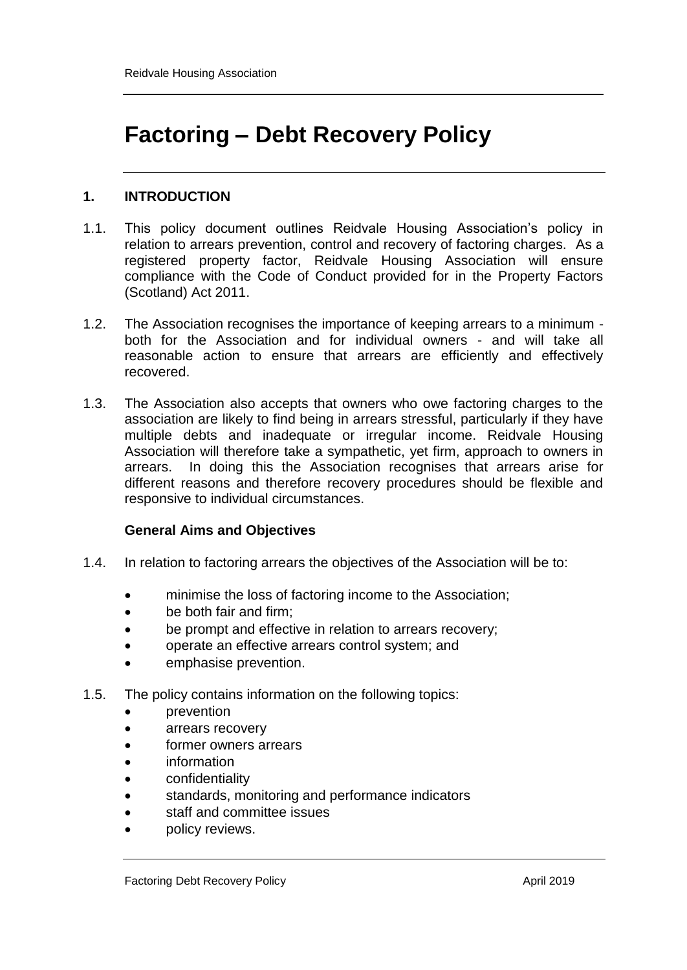# **Factoring – Debt Recovery Policy**

# **1. INTRODUCTION**

- 1.1. This policy document outlines Reidvale Housing Association's policy in relation to arrears prevention, control and recovery of factoring charges. As a registered property factor, Reidvale Housing Association will ensure compliance with the Code of Conduct provided for in the Property Factors (Scotland) Act 2011.
- 1.2. The Association recognises the importance of keeping arrears to a minimum both for the Association and for individual owners - and will take all reasonable action to ensure that arrears are efficiently and effectively recovered.
- 1.3. The Association also accepts that owners who owe factoring charges to the association are likely to find being in arrears stressful, particularly if they have multiple debts and inadequate or irregular income. Reidvale Housing Association will therefore take a sympathetic, yet firm, approach to owners in arrears. In doing this the Association recognises that arrears arise for different reasons and therefore recovery procedures should be flexible and responsive to individual circumstances.

## **General Aims and Objectives**

- 1.4. In relation to factoring arrears the objectives of the Association will be to:
	- minimise the loss of factoring income to the Association;
	- be both fair and firm:
	- be prompt and effective in relation to arrears recovery;
	- operate an effective arrears control system; and
	- emphasise prevention.
- 1.5. The policy contains information on the following topics:
	- prevention
	- arrears recovery
	- former owners arrears
	- information
	- confidentiality
	- standards, monitoring and performance indicators
	- staff and committee issues
	- policy reviews.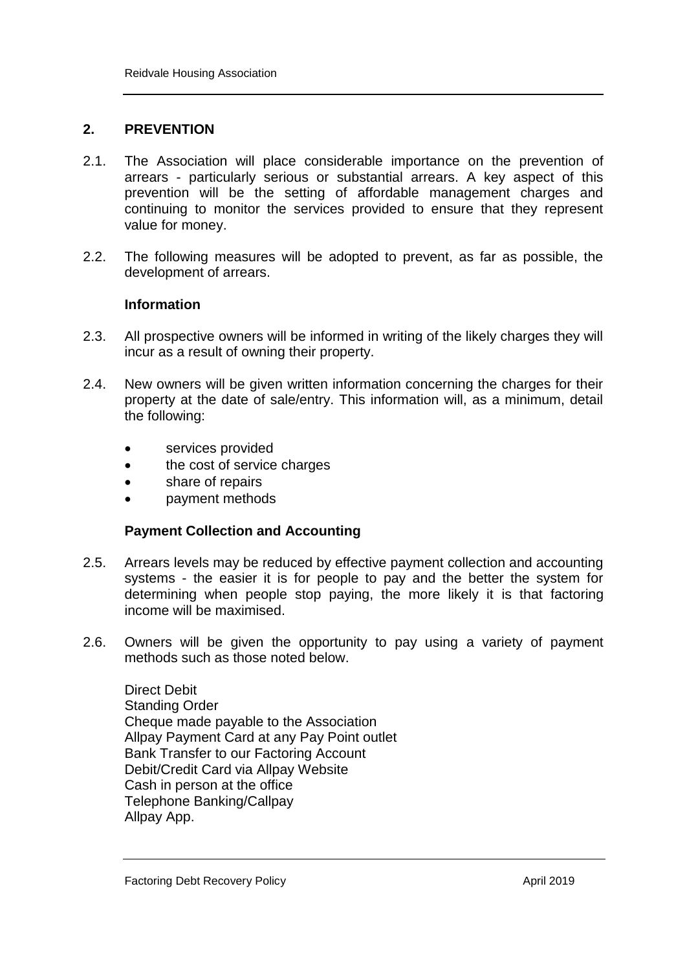## **2. PREVENTION**

- 2.1. The Association will place considerable importance on the prevention of arrears - particularly serious or substantial arrears. A key aspect of this prevention will be the setting of affordable management charges and continuing to monitor the services provided to ensure that they represent value for money.
- 2.2. The following measures will be adopted to prevent, as far as possible, the development of arrears.

## **Information**

- 2.3. All prospective owners will be informed in writing of the likely charges they will incur as a result of owning their property.
- 2.4. New owners will be given written information concerning the charges for their property at the date of sale/entry. This information will, as a minimum, detail the following:
	- services provided
	- the cost of service charges
	- share of repairs
	- **payment methods**

## **Payment Collection and Accounting**

- 2.5. Arrears levels may be reduced by effective payment collection and accounting systems - the easier it is for people to pay and the better the system for determining when people stop paying, the more likely it is that factoring income will be maximised.
- 2.6. Owners will be given the opportunity to pay using a variety of payment methods such as those noted below.

Direct Debit Standing Order Cheque made payable to the Association Allpay Payment Card at any Pay Point outlet Bank Transfer to our Factoring Account Debit/Credit Card via Allpay Website Cash in person at the office Telephone Banking/Callpay Allpay App.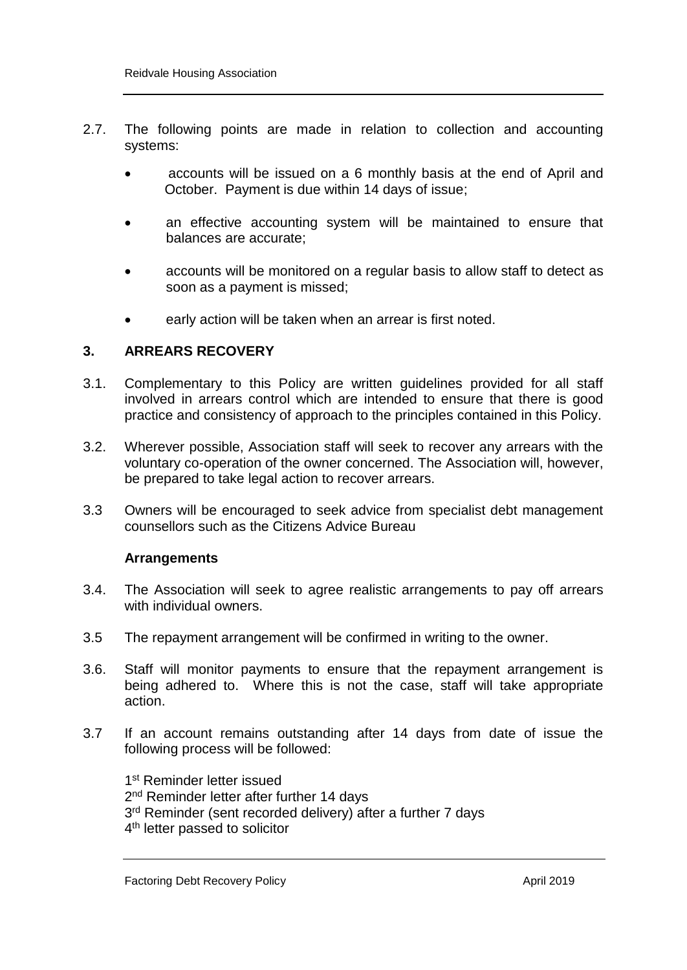- 2.7. The following points are made in relation to collection and accounting systems:
	- accounts will be issued on a 6 monthly basis at the end of April and October. Payment is due within 14 days of issue;
	- an effective accounting system will be maintained to ensure that balances are accurate;
	- accounts will be monitored on a regular basis to allow staff to detect as soon as a payment is missed;
	- early action will be taken when an arrear is first noted.

## **3. ARREARS RECOVERY**

- 3.1. Complementary to this Policy are written guidelines provided for all staff involved in arrears control which are intended to ensure that there is good practice and consistency of approach to the principles contained in this Policy.
- 3.2. Wherever possible, Association staff will seek to recover any arrears with the voluntary co-operation of the owner concerned. The Association will, however, be prepared to take legal action to recover arrears.
- 3.3 Owners will be encouraged to seek advice from specialist debt management counsellors such as the Citizens Advice Bureau

#### **Arrangements**

- 3.4. The Association will seek to agree realistic arrangements to pay off arrears with individual owners.
- 3.5 The repayment arrangement will be confirmed in writing to the owner.
- 3.6. Staff will monitor payments to ensure that the repayment arrangement is being adhered to. Where this is not the case, staff will take appropriate action.
- 3.7 If an account remains outstanding after 14 days from date of issue the following process will be followed:

1<sup>st</sup> Reminder letter issued 2<sup>nd</sup> Reminder letter after further 14 days 3<sup>rd</sup> Reminder (sent recorded delivery) after a further 7 days 4<sup>th</sup> letter passed to solicitor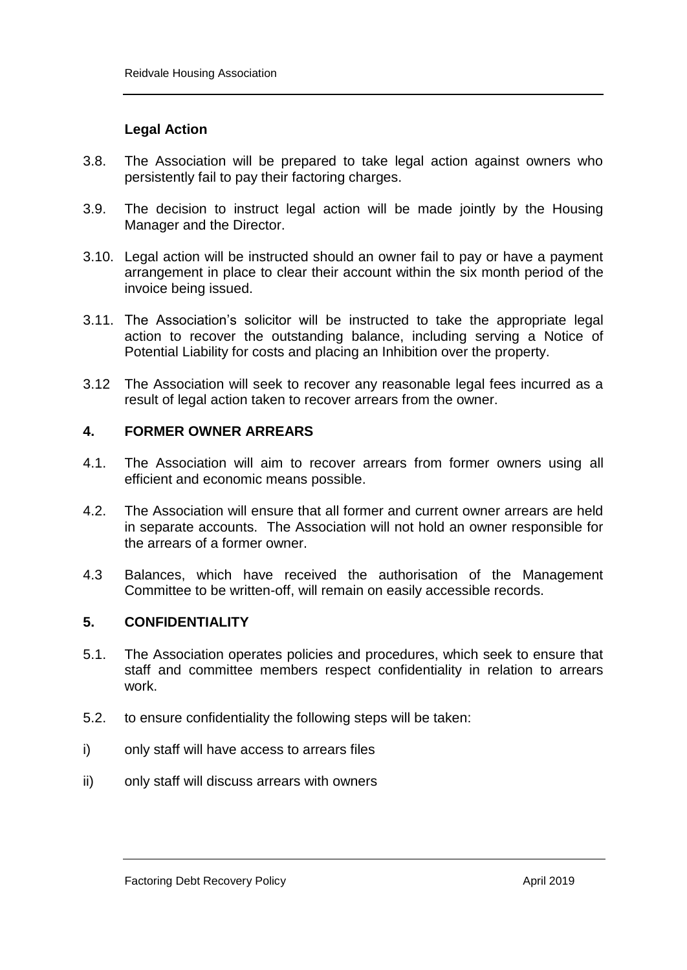## **Legal Action**

- 3.8. The Association will be prepared to take legal action against owners who persistently fail to pay their factoring charges.
- 3.9. The decision to instruct legal action will be made jointly by the Housing Manager and the Director.
- 3.10. Legal action will be instructed should an owner fail to pay or have a payment arrangement in place to clear their account within the six month period of the invoice being issued.
- 3.11. The Association's solicitor will be instructed to take the appropriate legal action to recover the outstanding balance, including serving a Notice of Potential Liability for costs and placing an Inhibition over the property.
- 3.12 The Association will seek to recover any reasonable legal fees incurred as a result of legal action taken to recover arrears from the owner.

## **4. FORMER OWNER ARREARS**

- 4.1. The Association will aim to recover arrears from former owners using all efficient and economic means possible.
- 4.2. The Association will ensure that all former and current owner arrears are held in separate accounts. The Association will not hold an owner responsible for the arrears of a former owner.
- 4.3 Balances, which have received the authorisation of the Management Committee to be written-off, will remain on easily accessible records.

## **5. CONFIDENTIALITY**

- 5.1. The Association operates policies and procedures, which seek to ensure that staff and committee members respect confidentiality in relation to arrears work.
- 5.2. to ensure confidentiality the following steps will be taken:
- i) only staff will have access to arrears files
- ii) only staff will discuss arrears with owners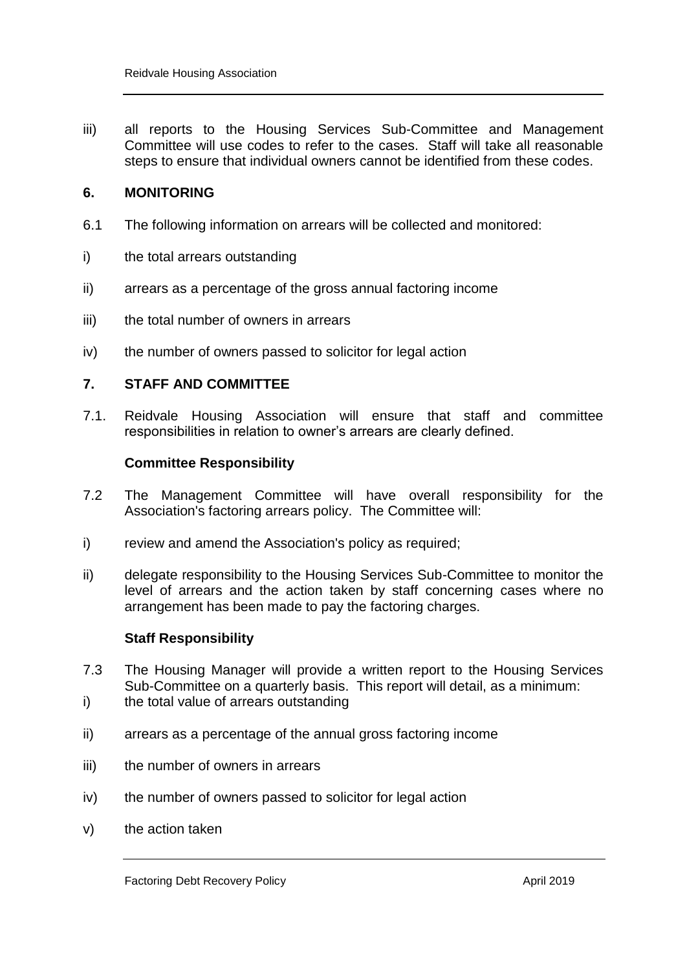iii) all reports to the Housing Services Sub-Committee and Management Committee will use codes to refer to the cases. Staff will take all reasonable steps to ensure that individual owners cannot be identified from these codes.

## **6. MONITORING**

- 6.1 The following information on arrears will be collected and monitored:
- i) the total arrears outstanding
- ii) arrears as a percentage of the gross annual factoring income
- iii) the total number of owners in arrears
- iv) the number of owners passed to solicitor for legal action

## **7. STAFF AND COMMITTEE**

7.1. Reidvale Housing Association will ensure that staff and committee responsibilities in relation to owner's arrears are clearly defined.

#### **Committee Responsibility**

- 7.2 The Management Committee will have overall responsibility for the Association's factoring arrears policy. The Committee will:
- i) review and amend the Association's policy as required;
- ii) delegate responsibility to the Housing Services Sub-Committee to monitor the level of arrears and the action taken by staff concerning cases where no arrangement has been made to pay the factoring charges.

#### **Staff Responsibility**

- 7.3 The Housing Manager will provide a written report to the Housing Services Sub-Committee on a quarterly basis. This report will detail, as a minimum:
- i) the total value of arrears outstanding
- ii) arrears as a percentage of the annual gross factoring income
- iii) the number of owners in arrears
- iv) the number of owners passed to solicitor for legal action
- v) the action taken